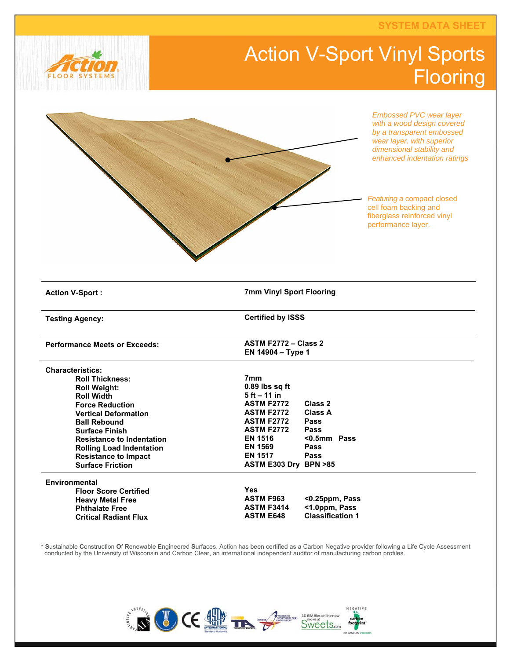**SYSTEM DATA SHEET** 

## Action V-Sport Vinyl Sports **Flooring**





**\* S**ustainable **C**onstruction **O**f **R**enewable **E**ngineered **S**urfaces. Action has been certified as a Carbon Negative provider following a Life Cycle Assessment conducted by the University of Wisconsin and Carbon Clear, an international independent auditor of manufacturing carbon profiles.